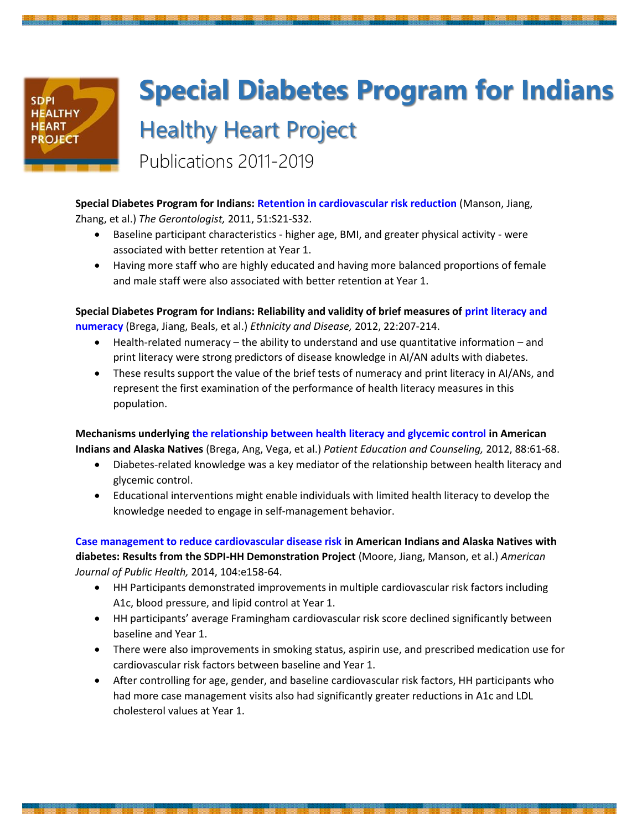## **SDPI HEALTHY HEART PROJECT**

## **Special Diabetes Program for Indians** Healthy Heart Project

Publications 2011-2019

**Special Diabetes Program for Indians: Retention in cardiovascular risk reduction** (Manson, Jiang, Zhang, et al.) *The Gerontologist,* 2011, 51:S21-S32.

- Baseline participant characteristics higher age, BMI, and greater physical activity were associated with better retention at Year 1.
- Having more staff who are highly educated and having more balanced proportions of female and male staff were also associated with better retention at Year 1.

**Special Diabetes Program for Indians: Reliability and validity of brief measures of print literacy and numeracy** (Brega, Jiang, Beals, et al.) *Ethnicity and Disease,* 2012, 22:207-214.

- Health-related numeracy the ability to understand and use quantitative information and print literacy were strong predictors of disease knowledge in AI/AN adults with diabetes.
- These results support the value of the brief tests of numeracy and print literacy in AI/ANs, and represent the first examination of the performance of health literacy measures in this population.

**Mechanisms underlying the relationship between health literacy and glycemic control in American Indians and Alaska Natives** (Brega, Ang, Vega, et al.) *Patient Education and Counseling,* 2012, 88:61-68.

- Diabetes-related knowledge was a key mediator of the relationship between health literacy and glycemic control.
- Educational interventions might enable individuals with limited health literacy to develop the knowledge needed to engage in self-management behavior.

**Case management to reduce cardiovascular disease risk in American Indians and Alaska Natives with diabetes: Results from the SDPI-HH Demonstration Project** (Moore, Jiang, Manson, et al.) *American Journal of Public Health,* 2014, 104:e158-64.

- HH Participants demonstrated improvements in multiple cardiovascular risk factors including A1c, blood pressure, and lipid control at Year 1.
- HH participants' average Framingham cardiovascular risk score declined significantly between baseline and Year 1.
- There were also improvements in smoking status, aspirin use, and prescribed medication use for cardiovascular risk factors between baseline and Year 1.
- After controlling for age, gender, and baseline cardiovascular risk factors, HH participants who had more case management visits also had significantly greater reductions in A1c and LDL cholesterol values at Year 1.